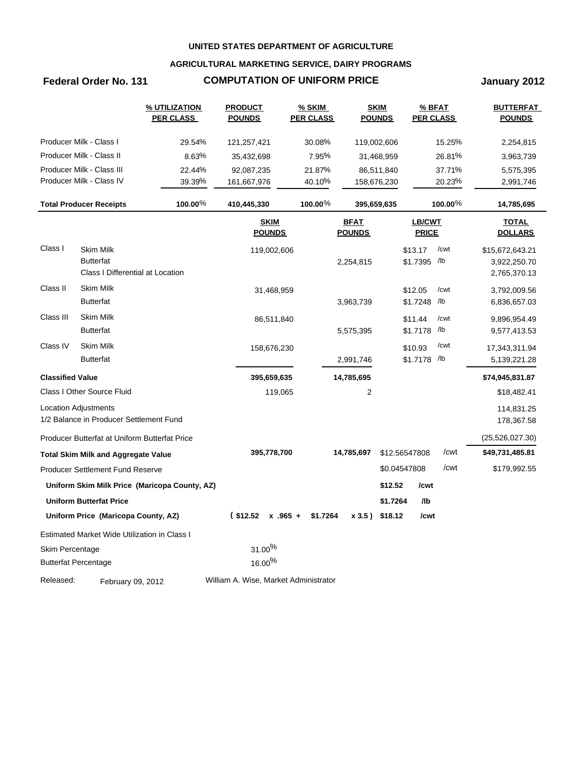### **AGRICULTURAL MARKETING SERVICE, DAIRY PROGRAMS**

## **Federal Order No. 131 COMPUTATION OF UNIFORM PRICE January 2012**

|                         |                                               | <u>% UTILIZATION</u><br><b>PER CLASS</b>      | <b>PRODUCT</b><br><u>POUNDS</u>       | % SKIM<br><b>PER CLASS</b> |                              | <b>SKIM</b><br><b>POUNDS</b> | $%$ BFAT<br><b>PER CLASS</b> | <u>BUTTERFAT</u><br><b>POUNDS</b> |
|-------------------------|-----------------------------------------------|-----------------------------------------------|---------------------------------------|----------------------------|------------------------------|------------------------------|------------------------------|-----------------------------------|
|                         | Producer Milk - Class I                       | 29.54%                                        | 121,257,421                           | 30.08%                     | 119,002,606                  |                              | 15.25%                       | 2,254,815                         |
|                         | Producer Milk - Class II                      | 8.63%                                         | 35,432,698                            | 7.95%                      |                              | 31,468,959                   | 26.81%                       | 3,963,739                         |
|                         | Producer Milk - Class III                     | 22.44%                                        | 92,087,235                            | 21.87%                     |                              | 86,511,840                   | 37.71%                       | 5,575,395                         |
|                         | Producer Milk - Class IV                      | 39.39%                                        | 161,667,976                           | 40.10%                     | 158,676,230                  |                              | 20.23%                       | 2,991,746                         |
|                         | <b>Total Producer Receipts</b>                | 100.00%                                       | 410,445,330                           | $100.00\%$                 | 395,659,635                  |                              | $100.00\%$                   | 14,785,695                        |
|                         |                                               |                                               | <b>SKIM</b><br><b>POUNDS</b>          |                            | <b>BFAT</b><br><b>POUNDS</b> |                              | LB/CWT<br><b>PRICE</b>       | <b>TOTAL</b><br><b>DOLLARS</b>    |
| Class I                 | <b>Skim Milk</b>                              |                                               | 119,002,606                           |                            |                              | \$13.17                      | /cwt                         | \$15,672,643.21                   |
|                         | <b>Butterfat</b>                              |                                               |                                       |                            | 2,254,815                    | \$1.7395 /lb                 |                              | 3,922,250.70                      |
|                         | Class I Differential at Location              |                                               |                                       |                            |                              |                              |                              | 2,765,370.13                      |
| Class II                | Skim Milk                                     |                                               | 31,468,959                            |                            |                              | \$12.05                      | /cwt                         | 3,792,009.56                      |
|                         | <b>Butterfat</b>                              |                                               |                                       |                            | 3,963,739                    | \$1.7248 /lb                 |                              | 6,836,657.03                      |
| Class III               | Skim Milk                                     |                                               | 86,511,840                            |                            |                              | \$11.44                      | /cwt                         | 9,896,954.49                      |
|                         | <b>Butterfat</b>                              |                                               |                                       |                            | 5,575,395                    | \$1.7178 /lb                 |                              | 9,577,413.53                      |
| Class IV                | Skim Milk                                     |                                               | 158,676,230                           |                            |                              | \$10.93                      | /cwt                         | 17,343,311.94                     |
|                         | <b>Butterfat</b>                              |                                               |                                       |                            | 2,991,746                    | \$1.7178 /lb                 |                              | 5,139,221.28                      |
| <b>Classified Value</b> |                                               |                                               | 395,659,635                           |                            | 14,785,695                   |                              |                              | \$74,945,831.87                   |
|                         | Class I Other Source Fluid                    |                                               | 119,065                               |                            | $\overline{c}$               |                              |                              | \$18,482.41                       |
|                         | Location Adjustments                          |                                               |                                       |                            |                              |                              |                              | 114,831.25                        |
|                         | 1/2 Balance in Producer Settlement Fund       |                                               |                                       |                            |                              |                              |                              | 178,367.58                        |
|                         | Producer Butterfat at Uniform Butterfat Price |                                               |                                       |                            |                              |                              |                              | (25, 526, 027.30)                 |
|                         | <b>Total Skim Milk and Aggregate Value</b>    |                                               | 395,778,700                           |                            | 14,785,697                   | \$12.56547808                | /cwt                         | \$49,731,485.81                   |
|                         | <b>Producer Settlement Fund Reserve</b>       |                                               |                                       |                            |                              | \$0.04547808                 | /cwt                         | \$179,992.55                      |
|                         |                                               | Uniform Skim Milk Price (Maricopa County, AZ) |                                       |                            |                              | \$12.52                      | /cwt                         |                                   |
|                         | <b>Uniform Butterfat Price</b>                |                                               |                                       |                            |                              | \$1.7264                     | /lb                          |                                   |
|                         | Uniform Price (Maricopa County, AZ)           |                                               | $($12.52 \times .965 +$               | \$1.7264                   | $x 3.5$ ) \$18.12            |                              | /cwt                         |                                   |
|                         | Estimated Market Wide Utilization in Class I  |                                               |                                       |                            |                              |                              |                              |                                   |
| Skim Percentage         |                                               |                                               | $31.00\%$                             |                            |                              |                              |                              |                                   |
|                         | <b>Butterfat Percentage</b>                   |                                               | $16.00\%$                             |                            |                              |                              |                              |                                   |
| Released:               | February 09, 2012                             |                                               | William A. Wise, Market Administrator |                            |                              |                              |                              |                                   |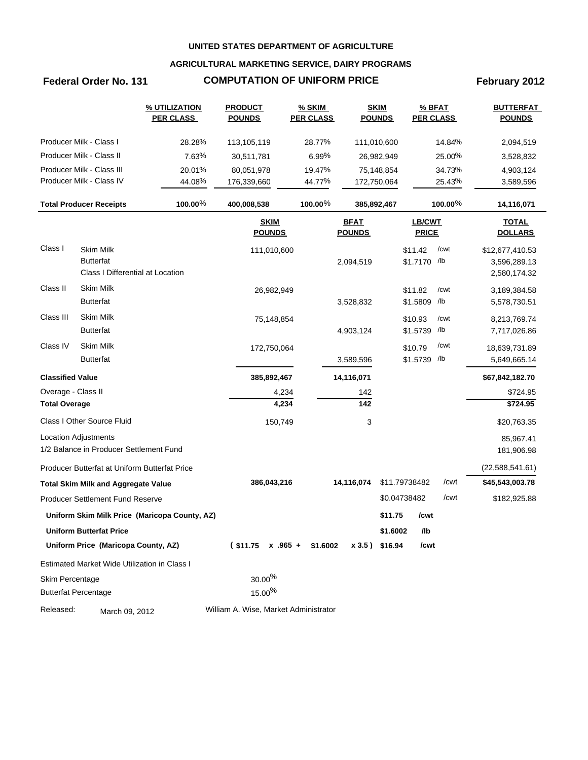### **AGRICULTURAL MARKETING SERVICE, DAIRY PROGRAMS**

## Federal Order No. 131 **COMPUTATION OF UNIFORM PRICE** February 2012

|                         |                                                      | % UTILIZATION<br><b>PER CLASS</b>             | <b>PRODUCT</b><br><b>POUNDS</b>       | % SKIM<br><b>PER CLASS</b> |                              | <b>SKIM</b><br><b>POUNDS</b> | % BFAT<br><b>PER CLASS</b>    |         | <b>BUTTERFAT</b><br><b>POUNDS</b> |
|-------------------------|------------------------------------------------------|-----------------------------------------------|---------------------------------------|----------------------------|------------------------------|------------------------------|-------------------------------|---------|-----------------------------------|
|                         | Producer Milk - Class I                              | 28.28%                                        | 113,105,119                           | 28.77%                     |                              | 111,010,600                  |                               | 14.84%  | 2,094,519                         |
|                         | Producer Milk - Class II                             | 7.63%                                         | 30,511,781                            | 6.99%                      |                              | 26,982,949                   |                               | 25.00%  | 3,528,832                         |
|                         | Producer Milk - Class III                            | 20.01%                                        | 80,051,978                            | 19.47%                     |                              | 75,148,854                   |                               | 34.73%  | 4,903,124                         |
|                         | Producer Milk - Class IV                             | 44.08%                                        | 176,339,660                           | 44.77%                     |                              | 172,750,064                  |                               | 25.43%  | 3,589,596                         |
|                         | <b>Total Producer Receipts</b>                       | 100.00%                                       | 400,008,538                           | 100.00 $%$                 |                              | 385,892,467                  |                               | 100.00% | 14,116,071                        |
|                         |                                                      |                                               | <b>SKIM</b><br><b>POUNDS</b>          |                            | <b>BFAT</b><br><b>POUNDS</b> |                              | <b>LB/CWT</b><br><b>PRICE</b> |         | <b>TOTAL</b><br><b>DOLLARS</b>    |
| Class I                 | <b>Skim Milk</b>                                     |                                               | 111,010,600                           |                            |                              |                              | \$11.42                       | /cwt    | \$12,677,410.53                   |
|                         | <b>Butterfat</b><br>Class I Differential at Location |                                               |                                       |                            | 2,094,519                    |                              | \$1.7170 /lb                  |         | 3,596,289.13<br>2,580,174.32      |
| Class II                | <b>Skim Milk</b>                                     |                                               | 26,982,949                            |                            |                              |                              | \$11.82                       | /cwt    | 3,189,384.58                      |
|                         | <b>Butterfat</b>                                     |                                               |                                       |                            | 3,528,832                    |                              | \$1.5809 /lb                  |         | 5,578,730.51                      |
| Class III               | Skim Milk                                            |                                               | 75,148,854                            |                            |                              |                              | \$10.93                       | /cwt    | 8,213,769.74                      |
|                         | <b>Butterfat</b>                                     |                                               |                                       |                            | 4,903,124                    |                              | \$1.5739 /lb                  |         | 7,717,026.86                      |
| Class IV                | Skim Milk                                            |                                               | 172,750,064                           |                            |                              |                              | \$10.79                       | /cwt    | 18,639,731.89                     |
|                         | <b>Butterfat</b>                                     |                                               |                                       |                            | 3,589,596                    |                              | \$1.5739 /lb                  |         | 5,649,665.14                      |
| <b>Classified Value</b> |                                                      |                                               | 385,892,467                           |                            | 14,116,071                   |                              |                               |         | \$67,842,182.70                   |
| Overage - Class II      |                                                      |                                               | 4,234                                 |                            | 142                          |                              |                               |         | \$724.95                          |
| <b>Total Overage</b>    |                                                      |                                               | 4,234                                 |                            | 142                          |                              |                               |         | \$724.95                          |
|                         | Class I Other Source Fluid                           |                                               | 150,749                               |                            | 3                            |                              |                               |         | \$20,763.35                       |
|                         | <b>Location Adjustments</b>                          |                                               |                                       |                            |                              |                              |                               |         | 85,967.41                         |
|                         | 1/2 Balance in Producer Settlement Fund              |                                               |                                       |                            |                              |                              |                               |         | 181,906.98                        |
|                         | Producer Butterfat at Uniform Butterfat Price        |                                               |                                       |                            |                              |                              |                               |         | (22, 588, 541.61)                 |
|                         | <b>Total Skim Milk and Aggregate Value</b>           |                                               | 386,043,216                           |                            | 14,116,074                   |                              | \$11.79738482                 | /cwt    | \$45,543,003.78                   |
|                         | Producer Settlement Fund Reserve                     |                                               |                                       |                            |                              |                              | \$0.04738482                  | /cwt    | \$182,925.88                      |
|                         |                                                      | Uniform Skim Milk Price (Maricopa County, AZ) |                                       |                            |                              | \$11.75                      | /cwt                          |         |                                   |
|                         | Uniform Butterfat Price                              |                                               |                                       |                            |                              | \$1.6002                     | /lb                           |         |                                   |
|                         | Uniform Price (Maricopa County, AZ)                  |                                               | $$11.75 \times .965 + $1.6002$        |                            | x 3.5) \$16.94               |                              | /cwt                          |         |                                   |
|                         | Estimated Market Wide Utilization in Class I         |                                               |                                       |                            |                              |                              |                               |         |                                   |
| Skim Percentage         |                                                      |                                               | $30.00\%$                             |                            |                              |                              |                               |         |                                   |
|                         | <b>Butterfat Percentage</b>                          |                                               | $15.00\%$                             |                            |                              |                              |                               |         |                                   |
| Released:               | March 09, 2012                                       |                                               | William A. Wise, Market Administrator |                            |                              |                              |                               |         |                                   |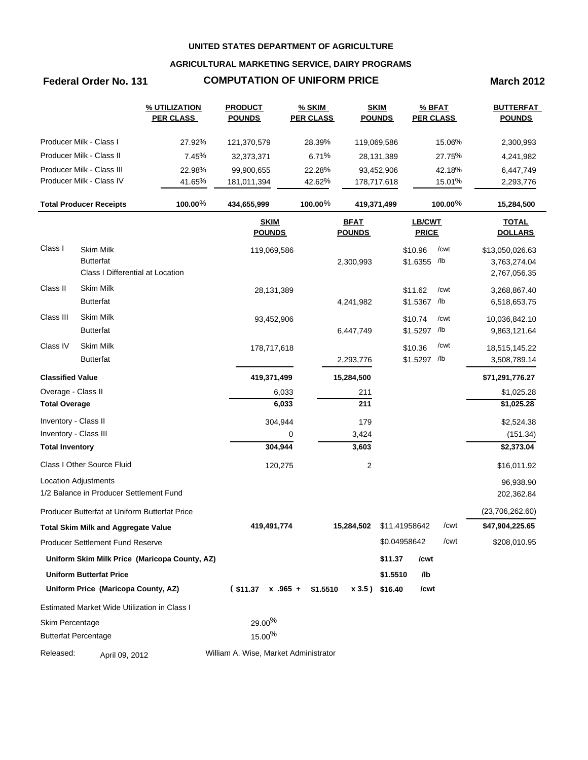### **AGRICULTURAL MARKETING SERVICE, DAIRY PROGRAMS**

### **Federal Order No. 131 COMPUTATION OF UNIFORM PRICE March 2012**

|                             |                                               | % UTILIZATION<br><b>PER CLASS</b>             | <b>PRODUCT</b><br><b>POUNDS</b>       | <b>% SKIM</b><br><b>PER CLASS</b> | <b>SKIM</b><br><b>POUNDS</b> |               | % BFAT<br><b>PER CLASS</b> |            | <b>BUTTERFAT</b><br><b>POUNDS</b> |
|-----------------------------|-----------------------------------------------|-----------------------------------------------|---------------------------------------|-----------------------------------|------------------------------|---------------|----------------------------|------------|-----------------------------------|
|                             | Producer Milk - Class I                       | 27.92%                                        | 121,370,579                           | 28.39%                            | 119,069,586                  |               |                            | 15.06%     | 2,300,993                         |
|                             | Producer Milk - Class II                      | 7.45%                                         | 32,373,371                            | 6.71%                             | 28,131,389                   |               |                            | 27.75%     | 4,241,982                         |
|                             | Producer Milk - Class III                     | 22.98%                                        | 99,900,655                            | 22.28%                            | 93,452,906                   |               |                            | 42.18%     | 6,447,749                         |
|                             | Producer Milk - Class IV                      | 41.65%                                        | 181,011,394                           | 42.62%                            | 178,717,618                  |               |                            | 15.01%     | 2,293,776                         |
|                             | <b>Total Producer Receipts</b>                | 100.00%                                       | 434,655,999                           | 100.00%                           | 419,371,499                  |               |                            | 100.00 $%$ | 15,284,500                        |
|                             |                                               |                                               | <b>SKIM</b><br><b>POUNDS</b>          |                                   | <b>BFAT</b><br><b>POUNDS</b> |               | LB/CWT<br><b>PRICE</b>     |            | <b>TOTAL</b><br><b>DOLLARS</b>    |
| Class I                     | <b>Skim Milk</b>                              |                                               | 119,069,586                           |                                   |                              |               | \$10.96                    | /cwt       | \$13,050,026.63                   |
|                             | <b>Butterfat</b>                              |                                               |                                       |                                   | 2,300,993                    |               | \$1.6355 /lb               |            | 3,763,274.04                      |
|                             | Class I Differential at Location              |                                               |                                       |                                   |                              |               |                            |            | 2,767,056.35                      |
| Class II                    | <b>Skim Milk</b>                              |                                               | 28,131,389                            |                                   |                              |               | \$11.62                    | /cwt       | 3,268,867.40                      |
|                             | <b>Butterfat</b>                              |                                               |                                       |                                   | 4,241,982                    |               | \$1.5367 /lb               |            | 6,518,653.75                      |
| Class III                   | Skim Milk                                     |                                               | 93,452,906                            |                                   |                              |               | \$10.74                    | /cwt       | 10,036,842.10                     |
|                             | <b>Butterfat</b>                              |                                               |                                       |                                   | 6,447,749                    |               | \$1.5297 /lb               |            | 9,863,121.64                      |
| Class IV                    | Skim Milk                                     |                                               | 178,717,618                           |                                   |                              |               | \$10.36                    | /cwt       | 18,515,145.22                     |
|                             | <b>Butterfat</b>                              |                                               |                                       |                                   | 2,293,776                    |               | \$1.5297 /lb               |            | 3,508,789.14                      |
| <b>Classified Value</b>     |                                               |                                               | 419,371,499                           |                                   | 15,284,500                   |               |                            |            | \$71,291,776.27                   |
| Overage - Class II          |                                               |                                               | 6,033                                 |                                   | 211                          |               |                            |            | \$1,025.28                        |
| <b>Total Overage</b>        |                                               |                                               | 6,033                                 |                                   | 211                          |               |                            |            | \$1,025.28                        |
| Inventory - Class II        |                                               |                                               | 304,944                               |                                   | 179                          |               |                            |            | \$2,524.38                        |
| Inventory - Class III       |                                               |                                               |                                       | 0                                 | 3,424                        |               |                            |            | (151.34)                          |
| <b>Total Inventory</b>      |                                               |                                               | 304,944                               |                                   | 3,603                        |               |                            |            | \$2,373.04                        |
|                             | Class I Other Source Fluid                    |                                               | 120,275                               |                                   | 2                            |               |                            |            | \$16,011.92                       |
|                             | <b>Location Adjustments</b>                   |                                               |                                       |                                   |                              |               |                            |            | 96,938.90                         |
|                             | 1/2 Balance in Producer Settlement Fund       |                                               |                                       |                                   |                              |               |                            |            | 202,362.84                        |
|                             | Producer Butterfat at Uniform Butterfat Price |                                               |                                       |                                   |                              |               |                            |            | (23,706,262.60)                   |
|                             | <b>Total Skim Milk and Aggregate Value</b>    |                                               | 419,491,774                           |                                   | 15,284,502                   | \$11.41958642 |                            | /cwt       | \$47,904,225.65                   |
|                             | <b>Producer Settlement Fund Reserve</b>       |                                               |                                       |                                   |                              | \$0.04958642  |                            | /cwt       | \$208,010.95                      |
|                             |                                               | Uniform Skim Milk Price (Maricopa County, AZ) |                                       |                                   |                              | \$11.37       | /cwt                       |            |                                   |
|                             | <b>Uniform Butterfat Price</b>                |                                               |                                       |                                   |                              | \$1.5510      | /lb                        |            |                                   |
|                             | Uniform Price (Maricopa County, AZ)           |                                               | $($11.37 \times .965 +$               | \$1.5510                          | x 3.5) \$16.40               |               | /cwt                       |            |                                   |
|                             | Estimated Market Wide Utilization in Class I  |                                               |                                       |                                   |                              |               |                            |            |                                   |
| Skim Percentage             |                                               |                                               | $29.00\%$                             |                                   |                              |               |                            |            |                                   |
| <b>Butterfat Percentage</b> |                                               |                                               | $15.00\%$                             |                                   |                              |               |                            |            |                                   |
| Released:                   | April 09, 2012                                |                                               | William A. Wise, Market Administrator |                                   |                              |               |                            |            |                                   |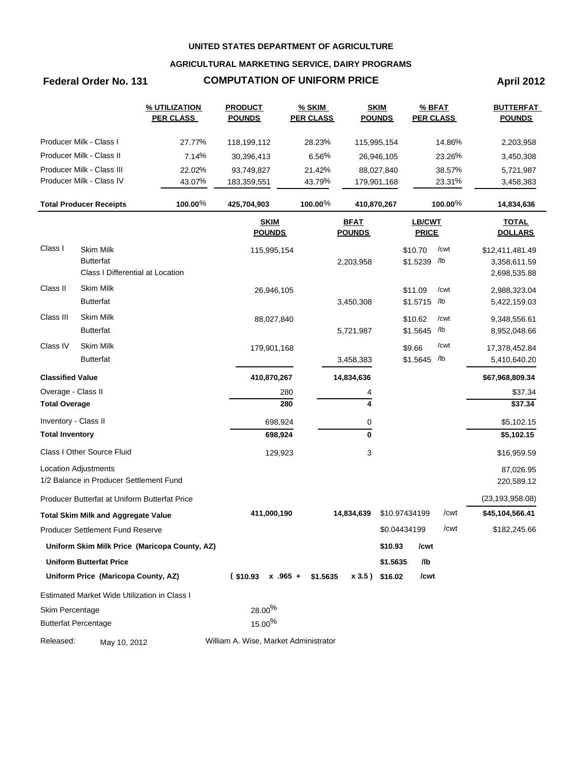### **AGRICULTURAL MARKETING SERVICE, DAIRY PROGRAMS**

## **Federal Order No. 131 COMPUTATION OF UNIFORM PRICE April 2012**

|                        |                                               | <b>% UTILIZATION</b><br><b>PER CLASS</b>      | <b>PRODUCT</b><br><b>POUNDS</b>       | <b>% SKIM</b><br><b>PER CLASS</b> |                              | <b>SKIM</b><br><b>POUNDS</b> |                        | $%$ BFAT<br><b>PER CLASS</b> | <b>BUTTERFAT</b><br><b>POUNDS</b> |
|------------------------|-----------------------------------------------|-----------------------------------------------|---------------------------------------|-----------------------------------|------------------------------|------------------------------|------------------------|------------------------------|-----------------------------------|
|                        | Producer Milk - Class I                       | 27.77%                                        | 118,199,112                           | 28.23%                            |                              | 115,995,154                  |                        | 14.86%                       | 2,203,958                         |
|                        | Producer Milk - Class II                      | 7.14%                                         | 30,396,413                            | 6.56%                             |                              | 26,946,105                   |                        | 23.26%                       | 3,450,308                         |
|                        | Producer Milk - Class III                     | 22.02%                                        | 93,749,827                            | 21.42%                            |                              | 88,027,840                   |                        | 38.57%                       | 5,721,987                         |
|                        | Producer Milk - Class IV                      | 43.07%                                        | 183,359,551                           | 43.79%                            |                              | 179,901,168                  |                        | 23.31%                       | 3,458,383                         |
|                        | <b>Total Producer Receipts</b>                | 100.00%                                       | 425,704,903                           | 100.00%                           |                              | 410,870,267                  |                        | 100.00%                      | 14,834,636                        |
|                        |                                               |                                               | <b>SKIM</b><br><b>POUNDS</b>          |                                   | <b>BFAT</b><br><b>POUNDS</b> |                              | LB/CWT<br><b>PRICE</b> |                              | <b>TOTAL</b><br><b>DOLLARS</b>    |
| Class I                | <b>Skim Milk</b>                              |                                               | 115,995,154                           |                                   |                              |                              | \$10.70                | /cwt                         | \$12,411,481.49                   |
|                        | <b>Butterfat</b>                              |                                               |                                       |                                   | 2,203,958                    |                              | \$1.5239 /lb           |                              | 3,358,611.59                      |
|                        | Class I Differential at Location              |                                               |                                       |                                   |                              |                              |                        |                              | 2,698,535.88                      |
| Class II               | Skim Milk                                     |                                               | 26,946,105                            |                                   |                              |                              | \$11.09                | /cwt                         | 2,988,323.04                      |
|                        | <b>Butterfat</b>                              |                                               |                                       |                                   | 3,450,308                    |                              | \$1.5715 /lb           |                              | 5,422,159.03                      |
| Class III              | Skim Milk                                     |                                               | 88,027,840                            |                                   |                              |                              | \$10.62                | /cwt                         | 9,348,556.61                      |
|                        | <b>Butterfat</b>                              |                                               |                                       |                                   | 5,721,987                    |                              | \$1.5645               | /lb                          | 8,952,048.66                      |
| Class IV               | Skim Milk                                     |                                               | 179,901,168                           |                                   |                              |                              | \$9.66                 | /cwt                         | 17,378,452.84                     |
|                        | <b>Butterfat</b>                              |                                               |                                       |                                   | 3,458,383                    |                              | \$1.5645 /lb           |                              | 5,410,640.20                      |
|                        | <b>Classified Value</b>                       |                                               | 410,870,267                           |                                   | 14,834,636                   |                              |                        |                              | \$67,968,809.34                   |
|                        | Overage - Class II                            |                                               | 280                                   |                                   | 4                            |                              |                        |                              | \$37.34                           |
| <b>Total Overage</b>   |                                               |                                               | 280                                   |                                   | 4                            |                              |                        |                              | \$37.34                           |
| Inventory - Class II   |                                               |                                               | 698,924                               |                                   | 0                            |                              |                        |                              | \$5,102.15                        |
| <b>Total Inventory</b> |                                               |                                               | 698,924                               |                                   | 0                            |                              |                        |                              | \$5,102.15                        |
|                        | Class I Other Source Fluid                    |                                               | 129,923                               |                                   | 3                            |                              |                        |                              | \$16,959.59                       |
|                        | Location Adjustments                          |                                               |                                       |                                   |                              |                              |                        |                              | 87,026.95                         |
|                        | 1/2 Balance in Producer Settlement Fund       |                                               |                                       |                                   |                              |                              |                        |                              | 220,589.12                        |
|                        | Producer Butterfat at Uniform Butterfat Price |                                               |                                       |                                   |                              |                              |                        |                              | (23, 193, 958.08)                 |
|                        | <b>Total Skim Milk and Aggregate Value</b>    |                                               | 411,000,190                           |                                   | 14,834,639                   |                              | \$10.97434199          | /cwt                         | \$45,104,566.41                   |
|                        | Producer Settlement Fund Reserve              |                                               |                                       |                                   |                              |                              | \$0.04434199           | /cwt                         | \$182,245.66                      |
|                        |                                               | Uniform Skim Milk Price (Maricopa County, AZ) |                                       |                                   |                              | \$10.93                      | /cwt                   |                              |                                   |
|                        | <b>Uniform Butterfat Price</b>                |                                               |                                       |                                   |                              | \$1.5635                     | /lb                    |                              |                                   |
|                        | Uniform Price (Maricopa County, AZ)           |                                               | $$10.93 \times .965 + $1.5635$        |                                   |                              | $x 3.5$ ) \$16.02            | /cwt                   |                              |                                   |
|                        | Estimated Market Wide Utilization in Class I  |                                               |                                       |                                   |                              |                              |                        |                              |                                   |
| Skim Percentage        |                                               |                                               | $28.00\%$                             |                                   |                              |                              |                        |                              |                                   |
|                        | <b>Butterfat Percentage</b>                   |                                               | $15.00\%$                             |                                   |                              |                              |                        |                              |                                   |
| Released:              | May 10, 2012                                  |                                               | William A. Wise, Market Administrator |                                   |                              |                              |                        |                              |                                   |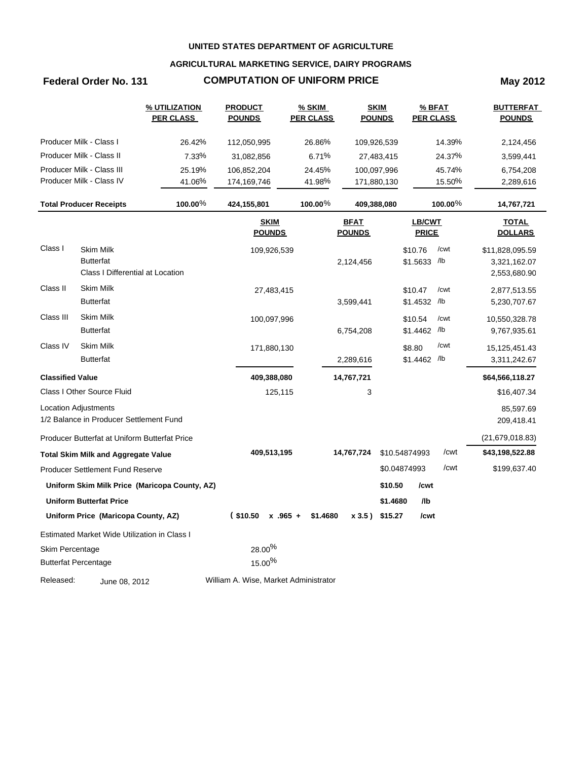### **AGRICULTURAL MARKETING SERVICE, DAIRY PROGRAMS**

## **Federal Order No. 131 COMPUTATION OF UNIFORM PRICE May 2012**

|                         |                                               | <u>% UTILIZATION</u><br><b>PER CLASS</b>      | <b>PRODUCT</b><br><u>POUNDS</u>       | % SKIM<br><b>PER CLASS</b> |                              | <b>SKIM</b><br><b>POUNDS</b> | $%$ BFAT<br><b>PER CLASS</b> |            | <u>BUTTERFAT</u><br><b>POUNDS</b> |
|-------------------------|-----------------------------------------------|-----------------------------------------------|---------------------------------------|----------------------------|------------------------------|------------------------------|------------------------------|------------|-----------------------------------|
|                         | Producer Milk - Class I                       | 26.42%                                        | 112,050,995                           | 26.86%                     |                              | 109,926,539                  |                              | 14.39%     | 2,124,456                         |
|                         | Producer Milk - Class II                      | 7.33%                                         | 31,082,856                            | 6.71%                      |                              | 27,483,415                   |                              | 24.37%     | 3,599,441                         |
|                         | Producer Milk - Class III                     | 25.19%                                        | 106,852,204                           | 24.45%                     |                              | 100,097,996                  |                              | 45.74%     | 6,754,208                         |
|                         | Producer Milk - Class IV                      | 41.06%                                        | 174,169,746                           | 41.98%                     |                              | 171,880,130                  |                              | 15.50%     | 2,289,616                         |
|                         | <b>Total Producer Receipts</b>                | 100.00%                                       | 424,155,801                           | $100.00\%$                 | 409,388,080                  |                              |                              | $100.00\%$ | 14,767,721                        |
|                         |                                               |                                               | <b>SKIM</b><br><b>POUNDS</b>          |                            | <b>BFAT</b><br><b>POUNDS</b> |                              | LB/CWT<br><b>PRICE</b>       |            | <b>TOTAL</b><br><b>DOLLARS</b>    |
| Class I                 | Skim Milk                                     |                                               | 109,926,539                           |                            |                              |                              | \$10.76                      | /cwt       | \$11,828,095.59                   |
|                         | <b>Butterfat</b>                              |                                               |                                       |                            | 2,124,456                    |                              | \$1.5633 /lb                 |            | 3,321,162.07                      |
|                         | Class I Differential at Location              |                                               |                                       |                            |                              |                              |                              |            | 2,553,680.90                      |
| Class II                | <b>Skim Milk</b>                              |                                               | 27,483,415                            |                            |                              |                              | \$10.47                      | /cwt       | 2,877,513.55                      |
|                         | <b>Butterfat</b>                              |                                               |                                       |                            | 3,599,441                    |                              | \$1.4532                     | /lb        | 5,230,707.67                      |
| Class III               | <b>Skim Milk</b>                              |                                               | 100,097,996                           |                            |                              |                              | \$10.54                      | /cwt       | 10,550,328.78                     |
|                         | <b>Butterfat</b>                              |                                               |                                       |                            | 6,754,208                    |                              | \$1.4462 /b                  |            | 9,767,935.61                      |
| Class IV                | Skim Milk                                     |                                               | 171,880,130                           |                            |                              |                              | \$8.80                       | /cwt       | 15,125,451.43                     |
|                         | <b>Butterfat</b>                              |                                               |                                       |                            | 2,289,616                    |                              | \$1.4462 /b                  |            | 3,311,242.67                      |
| <b>Classified Value</b> |                                               |                                               | 409,388,080                           |                            | 14,767,721                   |                              |                              |            | \$64,566,118.27                   |
|                         | Class I Other Source Fluid                    |                                               | 125,115                               |                            | 3                            |                              |                              |            | \$16,407.34                       |
|                         | Location Adjustments                          |                                               |                                       |                            |                              |                              |                              |            | 85,597.69                         |
|                         | 1/2 Balance in Producer Settlement Fund       |                                               |                                       |                            |                              |                              |                              |            | 209,418.41                        |
|                         | Producer Butterfat at Uniform Butterfat Price |                                               |                                       |                            |                              |                              |                              |            | (21,679,018.83)                   |
|                         | <b>Total Skim Milk and Aggregate Value</b>    |                                               | 409,513,195                           |                            | 14,767,724                   | \$10.54874993                |                              | /cwt       | \$43,198,522.88                   |
|                         | <b>Producer Settlement Fund Reserve</b>       |                                               |                                       |                            |                              | \$0.04874993                 |                              | /cwt       | \$199,637.40                      |
|                         |                                               | Uniform Skim Milk Price (Maricopa County, AZ) |                                       |                            |                              | \$10.50                      | /cwt                         |            |                                   |
|                         | <b>Uniform Butterfat Price</b>                |                                               |                                       |                            |                              | \$1.4680                     | /lb                          |            |                                   |
|                         | Uniform Price (Maricopa County, AZ)           |                                               | $($10.50 \times .965 +$               | \$1.4680                   | x3.5)                        | \$15.27                      | /cwt                         |            |                                   |
|                         | Estimated Market Wide Utilization in Class I  |                                               |                                       |                            |                              |                              |                              |            |                                   |
| Skim Percentage         |                                               |                                               | $28.00\%$                             |                            |                              |                              |                              |            |                                   |
|                         | <b>Butterfat Percentage</b>                   |                                               | $15.00\%$                             |                            |                              |                              |                              |            |                                   |
| Released:               | June 08, 2012                                 |                                               | William A. Wise, Market Administrator |                            |                              |                              |                              |            |                                   |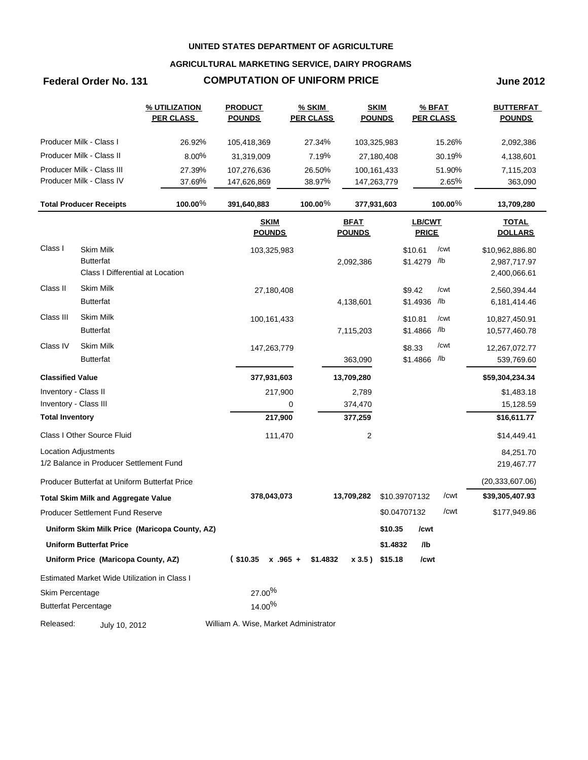### **AGRICULTURAL MARKETING SERVICE, DAIRY PROGRAMS**

### **Federal Order No. 131 COMPUTATION OF UNIFORM PRICE June 2012**

|                             |                                                                          | % UTILIZATION<br><b>PER CLASS</b>             | <b>PRODUCT</b><br><b>POUNDS</b>       | % SKIM<br><b>PER CLASS</b> |                              | <b>SKIM</b><br><b>POUNDS</b> |                         | % BFAT<br><b>PER CLASS</b> | <b>BUTTERFAT</b><br><b>POUNDS</b>               |
|-----------------------------|--------------------------------------------------------------------------|-----------------------------------------------|---------------------------------------|----------------------------|------------------------------|------------------------------|-------------------------|----------------------------|-------------------------------------------------|
|                             | Producer Milk - Class I                                                  | 26.92%                                        | 105,418,369                           | 27.34%                     |                              | 103,325,983                  |                         | 15.26%                     | 2,092,386                                       |
|                             | Producer Milk - Class II                                                 | 8.00%                                         | 31,319,009                            | 7.19%                      |                              | 27,180,408                   |                         | 30.19%                     | 4,138,601                                       |
|                             | Producer Milk - Class III                                                | 27.39%                                        | 107,276,636                           | 26.50%                     |                              | 100,161,433                  |                         | 51.90%                     | 7,115,203                                       |
|                             | Producer Milk - Class IV                                                 | 37.69%                                        | 147,626,869                           | 38.97%                     |                              | 147,263,779                  |                         | 2.65%                      | 363,090                                         |
|                             | <b>Total Producer Receipts</b>                                           | 100.00%                                       | 391,640,883                           | $100.00\%$                 |                              | 377,931,603                  |                         | $100.00\%$                 | 13,709,280                                      |
|                             |                                                                          |                                               | <b>SKIM</b><br><b>POUNDS</b>          |                            | <b>BFAT</b><br><b>POUNDS</b> |                              | LB/CWT<br><b>PRICE</b>  |                            | <b>TOTAL</b><br><b>DOLLARS</b>                  |
| Class I                     | <b>Skim Milk</b><br><b>Butterfat</b><br>Class I Differential at Location |                                               | 103,325,983                           |                            | 2,092,386                    |                              | \$10.61<br>\$1.4279 /lb | /cwt                       | \$10,962,886.80<br>2,987,717.97<br>2,400,066.61 |
| Class II                    | Skim Milk                                                                |                                               | 27,180,408                            |                            |                              |                              | \$9.42                  | /cwt                       | 2,560,394.44                                    |
|                             | <b>Butterfat</b>                                                         |                                               |                                       |                            | 4,138,601                    |                              | \$1.4936 /lb            |                            | 6,181,414.46                                    |
| Class III                   | Skim Milk                                                                |                                               | 100,161,433                           |                            |                              |                              | \$10.81                 | /cwt                       | 10,827,450.91                                   |
|                             | <b>Butterfat</b>                                                         |                                               |                                       |                            | 7,115,203                    |                              | \$1.4866 /lb            |                            | 10,577,460.78                                   |
| Class IV                    | Skim Milk                                                                |                                               | 147,263,779                           |                            |                              |                              | \$8.33                  | /cwt                       | 12,267,072.77                                   |
|                             | <b>Butterfat</b>                                                         |                                               |                                       |                            | 363,090                      |                              | \$1.4866 /lb            |                            | 539,769.60                                      |
| <b>Classified Value</b>     |                                                                          |                                               | 377,931,603                           |                            | 13,709,280                   |                              |                         |                            | \$59,304,234.34                                 |
| Inventory - Class II        |                                                                          |                                               | 217,900                               |                            | 2,789                        |                              |                         |                            | \$1,483.18                                      |
| Inventory - Class III       |                                                                          |                                               |                                       | 0                          | 374,470                      |                              |                         |                            | 15,128.59                                       |
| <b>Total Inventory</b>      |                                                                          |                                               | 217,900                               |                            | 377,259                      |                              |                         |                            | \$16,611.77                                     |
|                             | Class I Other Source Fluid                                               |                                               | 111,470                               |                            | $\overline{c}$               |                              |                         |                            | \$14,449.41                                     |
|                             | Location Adjustments                                                     |                                               |                                       |                            |                              |                              |                         |                            | 84,251.70                                       |
|                             | 1/2 Balance in Producer Settlement Fund                                  |                                               |                                       |                            |                              |                              |                         |                            | 219,467.77                                      |
|                             | Producer Butterfat at Uniform Butterfat Price                            |                                               |                                       |                            |                              |                              |                         |                            | (20, 333, 607.06)                               |
|                             | <b>Total Skim Milk and Aggregate Value</b>                               |                                               | 378,043,073                           |                            | 13,709,282                   |                              | \$10.39707132           | /cwt                       | \$39,305,407.93                                 |
|                             | <b>Producer Settlement Fund Reserve</b>                                  |                                               |                                       |                            |                              |                              | \$0.04707132            | /cwt                       | \$177,949.86                                    |
|                             |                                                                          | Uniform Skim Milk Price (Maricopa County, AZ) |                                       |                            |                              |                              | \$10.35 /cwt            |                            |                                                 |
|                             | <b>Uniform Butterfat Price</b>                                           |                                               |                                       |                            |                              | \$1.4832                     | /lb                     |                            |                                                 |
|                             | Uniform Price (Maricopa County, AZ)                                      |                                               | $($10.35 \times .965 +$               | \$1.4832                   |                              | x 3.5) \$15.18               | /cwt                    |                            |                                                 |
|                             | Estimated Market Wide Utilization in Class I                             |                                               |                                       |                            |                              |                              |                         |                            |                                                 |
| Skim Percentage             |                                                                          |                                               | $27.00\%$                             |                            |                              |                              |                         |                            |                                                 |
| <b>Butterfat Percentage</b> |                                                                          | 14.00%                                        |                                       |                            |                              |                              |                         |                            |                                                 |
| Released:                   | July 10, 2012                                                            |                                               | William A. Wise, Market Administrator |                            |                              |                              |                         |                            |                                                 |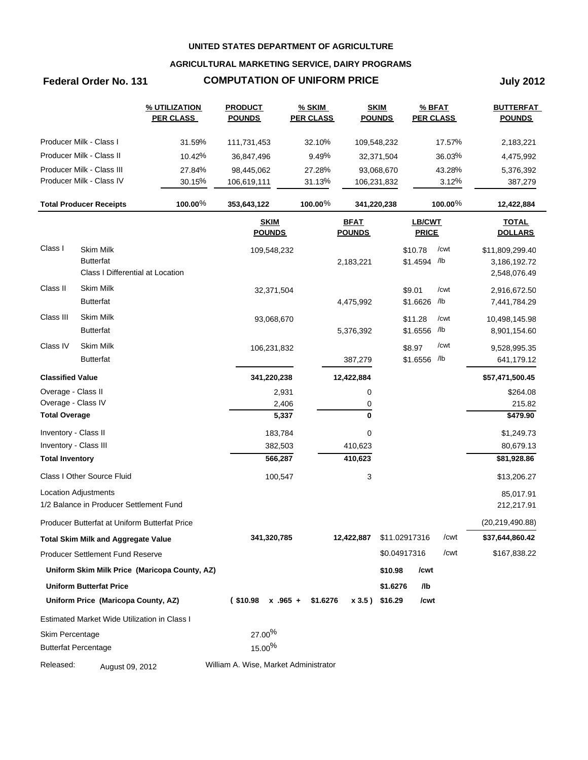### **AGRICULTURAL MARKETING SERVICE, DAIRY PROGRAMS**

## **Federal Order No. 131 COMPUTATION OF UNIFORM PRICE July 2012**

|                         |                                                                          | % UTILIZATION<br><b>PER CLASS</b>             | <b>PRODUCT</b><br><b>POUNDS</b>       | <b>% SKIM</b><br><b>PER CLASS</b> |                              | <b>SKIM</b><br><b>POUNDS</b> | % BFAT<br><b>PER CLASS</b> |                | <b>BUTTERFAT</b><br><b>POUNDS</b>               |
|-------------------------|--------------------------------------------------------------------------|-----------------------------------------------|---------------------------------------|-----------------------------------|------------------------------|------------------------------|----------------------------|----------------|-------------------------------------------------|
|                         | Producer Milk - Class I                                                  | 31.59%                                        | 111,731,453                           | 32.10%                            | 109,548,232                  |                              |                            | 17.57%         | 2,183,221                                       |
|                         | Producer Milk - Class II                                                 | 10.42%                                        | 36,847,496                            | 9.49%                             |                              | 32,371,504                   |                            | 36.03%         | 4,475,992                                       |
|                         | Producer Milk - Class III                                                | 27.84%                                        | 98,445,062                            | 27.28%                            |                              | 93,068,670                   |                            | 43.28%         | 5,376,392                                       |
|                         | Producer Milk - Class IV                                                 | 30.15%                                        | 106,619,111                           | 31.13%                            | 106,231,832                  |                              |                            | 3.12%          | 387,279                                         |
|                         | <b>Total Producer Receipts</b>                                           | 100.00%                                       | 353,643,122                           | 100.00%                           | 341,220,238                  |                              |                            | 100.00 $%$     | 12,422,884                                      |
|                         |                                                                          |                                               | <b>SKIM</b><br><b>POUNDS</b>          |                                   | <b>BFAT</b><br><b>POUNDS</b> |                              | LB/CWT<br><b>PRICE</b>     |                | <b>TOTAL</b><br><b>DOLLARS</b>                  |
| Class I                 | <b>Skim Milk</b><br><b>Butterfat</b><br>Class I Differential at Location |                                               | 109,548,232                           |                                   | 2,183,221                    |                              | \$10.78<br>\$1.4594 /lb    | /cwt           | \$11,809,299.40<br>3,186,192.72<br>2,548,076.49 |
| Class II                | <b>Skim Milk</b><br><b>Butterfat</b>                                     |                                               | 32,371,504                            |                                   | 4,475,992                    |                              | \$9.01<br>\$1.6626         | /cwt<br>$/$ lb | 2,916,672.50<br>7,441,784.29                    |
| Class III               | Skim Milk<br><b>Butterfat</b>                                            |                                               | 93,068,670                            |                                   | 5,376,392                    |                              | \$11.28<br>\$1.6556 /lb    | /cwt           | 10,498,145.98<br>8,901,154.60                   |
| Class IV                | Skim Milk<br><b>Butterfat</b>                                            |                                               | 106,231,832                           |                                   | 387,279                      |                              | \$8.97<br>\$1.6556 /lb     | /cwt           | 9,528,995.35<br>641,179.12                      |
| <b>Classified Value</b> |                                                                          |                                               | 341,220,238                           |                                   | 12,422,884                   |                              |                            |                | \$57,471,500.45                                 |
| Overage - Class II      |                                                                          |                                               | 2,931                                 |                                   | 0                            |                              |                            |                | \$264.08                                        |
| Overage - Class IV      |                                                                          |                                               | 2,406                                 |                                   | 0                            |                              |                            |                | 215.82                                          |
| <b>Total Overage</b>    |                                                                          |                                               | 5,337                                 |                                   | 0                            |                              |                            |                | \$479.90                                        |
| Inventory - Class II    |                                                                          |                                               | 183,784                               |                                   | 0                            |                              |                            |                | \$1,249.73                                      |
| Inventory - Class III   |                                                                          |                                               | 382,503                               |                                   | 410,623                      |                              |                            |                | 80,679.13                                       |
| <b>Total Inventory</b>  |                                                                          |                                               | 566,287                               |                                   | 410,623                      |                              |                            |                | \$81,928.86                                     |
|                         | Class I Other Source Fluid                                               |                                               | 100,547                               |                                   | 3                            |                              |                            |                | \$13,206.27                                     |
|                         | <b>Location Adjustments</b><br>1/2 Balance in Producer Settlement Fund   |                                               |                                       |                                   |                              |                              |                            |                | 85,017.91<br>212,217.91                         |
|                         | Producer Butterfat at Uniform Butterfat Price                            |                                               |                                       |                                   |                              |                              |                            |                | (20, 219, 490.88)                               |
|                         | <b>Total Skim Milk and Aggregate Value</b>                               |                                               | 341,320,785                           |                                   | 12,422,887                   | \$11.02917316                |                            | /cwt           | \$37,644,860.42                                 |
|                         | <b>Producer Settlement Fund Reserve</b>                                  |                                               |                                       |                                   |                              | \$0.04917316                 |                            | /cwt           | \$167,838.22                                    |
|                         |                                                                          | Uniform Skim Milk Price (Maricopa County, AZ) |                                       |                                   |                              | \$10.98                      | /cwt                       |                |                                                 |
|                         | <b>Uniform Butterfat Price</b>                                           |                                               |                                       |                                   |                              | \$1.6276                     | /lb                        |                |                                                 |
|                         | Uniform Price (Maricopa County, AZ)                                      |                                               | $($10.98 \times .965 +$               | \$1.6276                          |                              | x 3.5) \$16.29               | /cwt                       |                |                                                 |
|                         | Estimated Market Wide Utilization in Class I                             |                                               |                                       |                                   |                              |                              |                            |                |                                                 |
| Skim Percentage         | <b>Butterfat Percentage</b>                                              |                                               | $27.00\%$<br>$15.00\%$                |                                   |                              |                              |                            |                |                                                 |
| Released:               | August 09, 2012                                                          |                                               | William A. Wise, Market Administrator |                                   |                              |                              |                            |                |                                                 |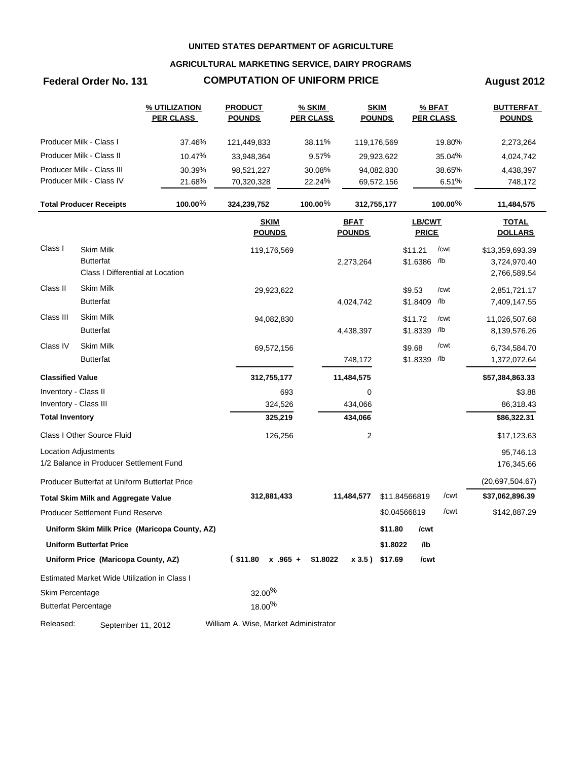### **AGRICULTURAL MARKETING SERVICE, DAIRY PROGRAMS**

## **Federal Order No. 131 COMPUTATION OF UNIFORM PRICE August 2012**

|                         |                                                                          | <b>% UTILIZATION</b><br><b>PER CLASS</b>      | <b>PRODUCT</b><br><b>POUNDS</b>       | $%$ SKIM<br><b>PER CLASS</b> |                              | <b>SKIM</b><br><b>POUNDS</b> | $%$ BFAT<br><b>PER CLASS</b> |         | <b>BUTTERFAT</b><br><b>POUNDS</b>               |
|-------------------------|--------------------------------------------------------------------------|-----------------------------------------------|---------------------------------------|------------------------------|------------------------------|------------------------------|------------------------------|---------|-------------------------------------------------|
|                         | Producer Milk - Class I                                                  | 37.46%                                        | 121,449,833                           | 38.11%                       |                              | 119,176,569                  |                              | 19.80%  | 2,273,264                                       |
|                         | Producer Milk - Class II                                                 | 10.47%                                        | 33,948,364                            | 9.57%                        |                              | 29,923,622                   |                              | 35.04%  | 4,024,742                                       |
|                         | Producer Milk - Class III                                                | 30.39%                                        | 98,521,227                            | 30.08%                       |                              | 94,082,830                   | 38.65%                       |         | 4,438,397                                       |
|                         | Producer Milk - Class IV                                                 | 21.68%                                        | 70,320,328                            | 22.24%                       |                              | 69,572,156                   |                              | 6.51%   | 748,172                                         |
|                         | <b>Total Producer Receipts</b>                                           | 100.00%                                       | 324,239,752                           | 100.00%                      |                              | 312,755,177                  |                              | 100.00% | 11,484,575                                      |
|                         |                                                                          |                                               | <b>SKIM</b><br><b>POUNDS</b>          |                              | <b>BFAT</b><br><b>POUNDS</b> |                              | LB/CWT<br><b>PRICE</b>       |         | <b>TOTAL</b><br><b>DOLLARS</b>                  |
| Class I                 | <b>Skim Milk</b><br><b>Butterfat</b><br>Class I Differential at Location |                                               | 119,176,569                           |                              | 2,273,264                    |                              | \$11.21<br>\$1.6386 /lb      | /cwt    | \$13,359,693.39<br>3,724,970.40<br>2,766,589.54 |
| Class II                | <b>Skim Milk</b>                                                         |                                               | 29,923,622                            |                              |                              |                              | \$9.53                       | /cwt    | 2,851,721.17                                    |
|                         | <b>Butterfat</b>                                                         |                                               |                                       |                              | 4,024,742                    |                              | \$1.8409                     | /lb     | 7,409,147.55                                    |
| Class III               | <b>Skim Milk</b>                                                         |                                               | 94,082,830                            |                              |                              |                              | \$11.72                      | /cwt    | 11,026,507.68                                   |
|                         | <b>Butterfat</b>                                                         |                                               |                                       |                              | 4,438,397                    |                              | \$1.8339                     | /lb     | 8,139,576.26                                    |
| Class IV                | <b>Skim Milk</b>                                                         |                                               | 69,572,156                            |                              |                              |                              | \$9.68                       | /cwt    | 6,734,584.70                                    |
|                         | <b>Butterfat</b>                                                         |                                               |                                       |                              | 748,172                      |                              | \$1.8339 /lb                 |         | 1,372,072.64                                    |
| <b>Classified Value</b> |                                                                          |                                               | 312,755,177                           |                              | 11,484,575                   |                              |                              |         | \$57,384,863.33                                 |
| Inventory - Class II    |                                                                          |                                               | 693                                   |                              | 0                            |                              |                              |         | \$3.88                                          |
| Inventory - Class III   |                                                                          |                                               | 324,526                               |                              | 434,066                      |                              |                              |         | 86,318.43                                       |
| <b>Total Inventory</b>  |                                                                          |                                               | 325,219                               |                              | 434,066                      |                              |                              |         | \$86,322.31                                     |
|                         | Class I Other Source Fluid                                               |                                               | 126,256                               |                              | $\overline{c}$               |                              |                              |         | \$17,123.63                                     |
|                         | Location Adjustments                                                     |                                               |                                       |                              |                              |                              |                              |         | 95,746.13                                       |
|                         | 1/2 Balance in Producer Settlement Fund                                  |                                               |                                       |                              |                              |                              |                              |         | 176,345.66                                      |
|                         | Producer Butterfat at Uniform Butterfat Price                            |                                               |                                       |                              |                              |                              |                              |         | (20,697,504.67)                                 |
|                         | <b>Total Skim Milk and Aggregate Value</b>                               |                                               | 312,881,433                           |                              | 11,484,577                   |                              | \$11.84566819                | /cwt    | \$37,062,896.39                                 |
|                         | <b>Producer Settlement Fund Reserve</b>                                  |                                               |                                       |                              |                              |                              | \$0.04566819                 | /cwt    | \$142,887.29                                    |
|                         |                                                                          | Uniform Skim Milk Price (Maricopa County, AZ) |                                       |                              |                              | \$11.80                      | /cwt                         |         |                                                 |
|                         | <b>Uniform Butterfat Price</b>                                           |                                               |                                       |                              |                              | \$1.8022                     | /lb                          |         |                                                 |
|                         | Uniform Price (Maricopa County, AZ)                                      |                                               | $($11.80 \times .965 +$               | \$1.8022                     |                              | x 3.5) \$17.69               | /cwt                         |         |                                                 |
|                         | Estimated Market Wide Utilization in Class I                             |                                               |                                       |                              |                              |                              |                              |         |                                                 |
| Skim Percentage         |                                                                          |                                               | $32.00\%$                             |                              |                              |                              |                              |         |                                                 |
|                         | <b>Butterfat Percentage</b>                                              |                                               | $18.00\%$                             |                              |                              |                              |                              |         |                                                 |
| Released:               | September 11, 2012                                                       |                                               | William A. Wise, Market Administrator |                              |                              |                              |                              |         |                                                 |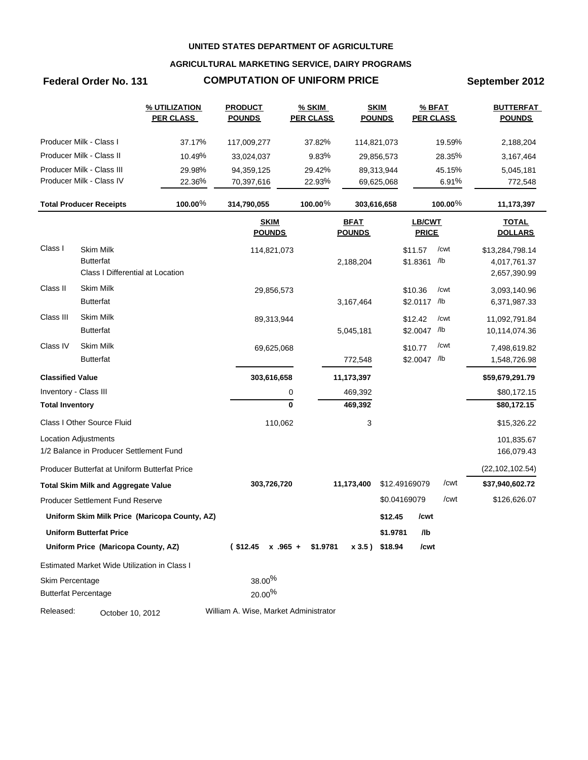### **AGRICULTURAL MARKETING SERVICE, DAIRY PROGRAMS**

## **Federal Order No. 131 COMPUTATION OF UNIFORM PRICE September 2012**

|                         |                                                                          | % UTILIZATION<br><b>PER CLASS</b>             | <b>PRODUCT</b><br><b>POUNDS</b>       | <b>% SKIM</b><br><b>PER CLASS</b> | <b>SKIM</b><br><b>POUNDS</b> |               | <b>PER CLASS</b>              | % BFAT  | <b>BUTTERFAT</b><br><b>POUNDS</b>               |
|-------------------------|--------------------------------------------------------------------------|-----------------------------------------------|---------------------------------------|-----------------------------------|------------------------------|---------------|-------------------------------|---------|-------------------------------------------------|
|                         | Producer Milk - Class I                                                  | 37.17%                                        | 117,009,277                           | 37.82%                            | 114,821,073                  |               |                               | 19.59%  | 2,188,204                                       |
|                         | Producer Milk - Class II                                                 | 10.49%                                        | 33,024,037                            | 9.83%                             |                              | 29,856,573    |                               | 28.35%  | 3,167,464                                       |
|                         | Producer Milk - Class III                                                | 29.98%                                        | 94,359,125                            | 29.42%                            |                              | 89,313,944    |                               | 45.15%  | 5,045,181                                       |
|                         | Producer Milk - Class IV                                                 | 22.36%                                        | 70,397,616                            | 22.93%                            |                              | 69,625,068    |                               | 6.91%   | 772,548                                         |
|                         | <b>Total Producer Receipts</b>                                           | 100.00%                                       | 314,790,055                           | 100.00 $%$                        | 303,616,658                  |               |                               | 100.00% | 11,173,397                                      |
|                         |                                                                          |                                               | <b>SKIM</b><br><b>POUNDS</b>          |                                   | <b>BFAT</b><br><b>POUNDS</b> |               | <b>LB/CWT</b><br><b>PRICE</b> |         | <b>TOTAL</b><br><b>DOLLARS</b>                  |
| Class I                 | <b>Skim Milk</b><br><b>Butterfat</b><br>Class I Differential at Location |                                               | 114,821,073                           |                                   | 2,188,204                    |               | \$11.57<br>\$1.8361 /lb       | /cwt    | \$13,284,798.14<br>4,017,761.37<br>2,657,390.99 |
| Class II                | <b>Skim Milk</b><br><b>Butterfat</b>                                     |                                               | 29,856,573                            |                                   | 3,167,464                    |               | \$10.36<br>\$2.0117 /lb       | /cwt    | 3,093,140.96<br>6,371,987.33                    |
| Class III               | Skim Milk<br><b>Butterfat</b>                                            |                                               | 89,313,944                            |                                   | 5,045,181                    |               | \$12.42<br>\$2.0047 /lb       | /cwt    | 11,092,791.84<br>10,114,074.36                  |
| Class IV                | Skim Milk<br><b>Butterfat</b>                                            |                                               | 69,625,068                            |                                   | 772,548                      |               | \$10.77<br>\$2.0047 /lb       | /cwt    | 7,498,619.82<br>1,548,726.98                    |
| <b>Classified Value</b> |                                                                          |                                               | 303,616,658                           |                                   | 11,173,397                   |               |                               |         | \$59,679,291.79                                 |
|                         | Inventory - Class III                                                    |                                               |                                       | 0                                 | 469,392                      |               |                               |         | \$80,172.15                                     |
| <b>Total Inventory</b>  |                                                                          |                                               |                                       | 0                                 | 469,392                      |               |                               |         | \$80,172.15                                     |
|                         | Class I Other Source Fluid                                               |                                               | 110,062                               |                                   | 3                            |               |                               |         | \$15,326.22                                     |
|                         | <b>Location Adjustments</b><br>1/2 Balance in Producer Settlement Fund   |                                               |                                       |                                   |                              |               |                               |         | 101,835.67<br>166,079.43                        |
|                         | Producer Butterfat at Uniform Butterfat Price                            |                                               |                                       |                                   |                              |               |                               |         | (22, 102, 102.54)                               |
|                         | <b>Total Skim Milk and Aggregate Value</b>                               |                                               | 303,726,720                           |                                   | 11,173,400                   | \$12.49169079 |                               | /cwt    | \$37,940,602.72                                 |
|                         | <b>Producer Settlement Fund Reserve</b>                                  |                                               |                                       |                                   |                              | \$0.04169079  |                               | /cwt    | \$126,626.07                                    |
|                         |                                                                          | Uniform Skim Milk Price (Maricopa County, AZ) |                                       |                                   |                              | \$12.45       | /cwt                          |         |                                                 |
|                         | <b>Uniform Butterfat Price</b>                                           |                                               |                                       |                                   |                              | \$1.9781      | /lb                           |         |                                                 |
|                         | Uniform Price (Maricopa County, AZ)                                      |                                               | $($12.45 \times .965 + $1.9781$       |                                   | x 3.5) \$18.94               |               | /cwt                          |         |                                                 |
|                         | Estimated Market Wide Utilization in Class I                             |                                               |                                       |                                   |                              |               |                               |         |                                                 |
| Skim Percentage         | <b>Butterfat Percentage</b>                                              |                                               | 38.00%<br>20.00%                      |                                   |                              |               |                               |         |                                                 |
| Released:               | October 10, 2012                                                         |                                               | William A. Wise, Market Administrator |                                   |                              |               |                               |         |                                                 |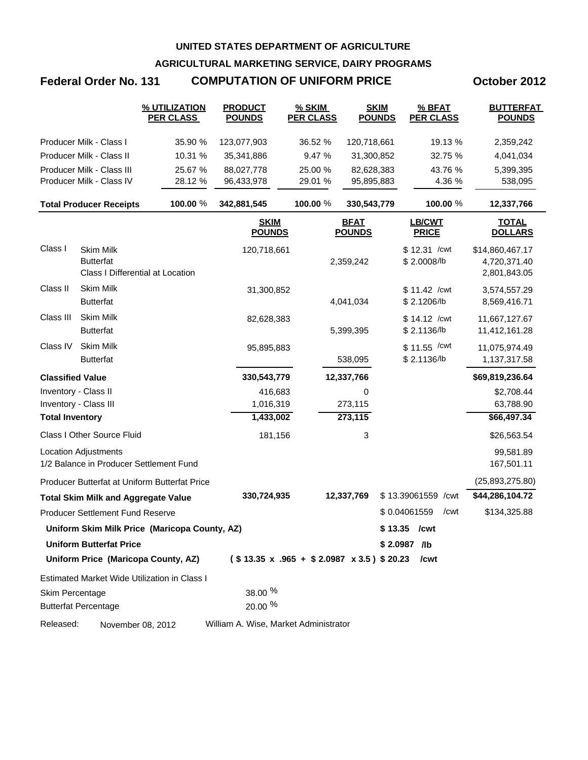**AGRICULTURAL MARKETING SERVICE, DAIRY PROGRAMS**

# **Federal Order No. 131 COMPUTATION OF UNIFORM PRICE October 2012**

|                         |                                                                          | % UTILIZATION<br><b>PER CLASS</b>             | <b>PRODUCT</b><br><b>POUNDS</b>       | % SKIM<br><b>PER CLASS</b> | <b>SKIM</b><br><b>POUNDS</b> | % BFAT<br><b>PER CLASS</b>                              | <b>BUTTERFAT</b><br><b>POUNDS</b>               |
|-------------------------|--------------------------------------------------------------------------|-----------------------------------------------|---------------------------------------|----------------------------|------------------------------|---------------------------------------------------------|-------------------------------------------------|
|                         | Producer Milk - Class I                                                  | 35.90 %                                       | 123,077,903                           | 36.52 %                    | 120,718,661                  | 19.13 %                                                 | 2,359,242                                       |
|                         | Producer Milk - Class II                                                 | 10.31 %                                       | 35,341,886                            | 9.47 %                     | 31,300,852                   | 32.75 %                                                 | 4,041,034                                       |
|                         | Producer Milk - Class III                                                | 25.67 %                                       | 88,027,778                            | 25.00 %                    | 82,628,383                   | 43.76 %                                                 | 5,399,395                                       |
|                         | Producer Milk - Class IV                                                 | 28.12 %                                       | 96,433,978                            | 29.01 %                    | 95,895,883                   | 4.36 %                                                  | 538,095                                         |
|                         | <b>Total Producer Receipts</b>                                           | 100.00 %                                      | 342,881,545                           | 100.00 %                   | 330,543,779                  | 100.00 %                                                | 12,337,766                                      |
|                         |                                                                          |                                               | <b>SKIM</b><br><b>POUNDS</b>          |                            | <b>BFAT</b><br><b>POUNDS</b> | <b>LB/CWT</b><br><b>PRICE</b>                           | <b>TOTAL</b><br><b>DOLLARS</b>                  |
| Class I                 | <b>Skim Milk</b><br><b>Butterfat</b><br>Class I Differential at Location |                                               | 120,718,661                           |                            | 2,359,242                    | \$12.31 / cwt<br>\$2.0008/lb                            | \$14,860,467.17<br>4,720,371.40<br>2,801,843.05 |
| Class II                | Skim Milk<br><b>Butterfat</b>                                            |                                               | 31,300,852                            |                            | 4,041,034                    | \$11.42 / cwt<br>\$2.1206/lb                            | 3,574,557.29<br>8,569,416.71                    |
| Class III               | Skim Milk<br><b>Butterfat</b>                                            |                                               | 82,628,383                            |                            | 5,399,395                    | \$14.12 / cwt<br>\$2.1136/lb                            | 11,667,127.67<br>11,412,161.28                  |
| Class IV                | Skim Milk<br><b>Butterfat</b>                                            |                                               | 95,895,883                            |                            | 538,095                      | $$11.55$ / cwt<br>\$2.1136/lb                           | 11,075,974.49<br>1,137,317.58                   |
| <b>Classified Value</b> |                                                                          |                                               | 330,543,779                           |                            | 12,337,766                   |                                                         | \$69,819,236.64                                 |
| Inventory - Class II    |                                                                          |                                               | 416,683                               |                            | 0                            |                                                         | \$2,708.44                                      |
|                         | Inventory - Class III                                                    |                                               | 1,016,319                             |                            | 273,115                      |                                                         | 63,788.90                                       |
| <b>Total Inventory</b>  |                                                                          |                                               | 1,433,002                             |                            | 273,115                      |                                                         | \$66,497.34                                     |
|                         | Class I Other Source Fluid                                               |                                               | 181,156                               |                            | 3                            |                                                         | \$26,563.54                                     |
|                         | <b>Location Adjustments</b><br>1/2 Balance in Producer Settlement Fund   |                                               |                                       |                            |                              |                                                         | 99,581.89<br>167,501.11                         |
|                         |                                                                          | Producer Butterfat at Uniform Butterfat Price |                                       |                            |                              |                                                         | (25,893,275.80)                                 |
|                         | <b>Total Skim Milk and Aggregate Value</b>                               |                                               | 330,724,935                           |                            | 12,337,769                   | \$13.39061559 / cwt                                     | \$44,286,104.72                                 |
|                         | <b>Producer Settlement Fund Reserve</b>                                  |                                               |                                       |                            |                              | \$0.04061559<br>/cwt                                    | \$134,325.88                                    |
|                         |                                                                          | Uniform Skim Milk Price (Maricopa County, AZ) |                                       |                            |                              | $$13.35$ / cwt                                          |                                                 |
|                         | <b>Uniform Butterfat Price</b>                                           |                                               |                                       |                            |                              | \$2.0987 /lb                                            |                                                 |
|                         | Uniform Price (Maricopa County, AZ)                                      |                                               |                                       |                            |                              | $($13.35 \times .965 + $2.0987 \times 3.5) $20.23$ /cwt |                                                 |
|                         |                                                                          | Estimated Market Wide Utilization in Class I  |                                       |                            |                              |                                                         |                                                 |
| Skim Percentage         | <b>Butterfat Percentage</b>                                              |                                               | 38.00 %<br>20.00 %                    |                            |                              |                                                         |                                                 |
| Released:               | November 08, 2012                                                        |                                               | William A. Wise, Market Administrator |                            |                              |                                                         |                                                 |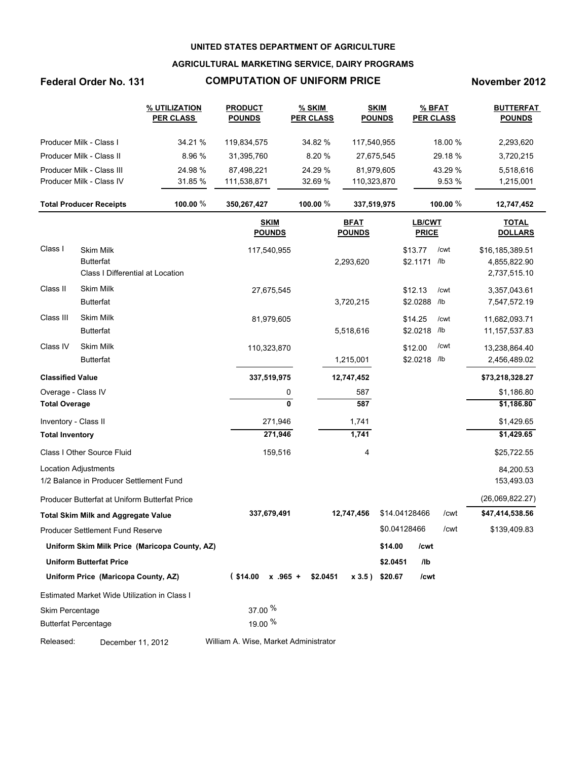### **AGRICULTURAL MARKETING SERVICE, DAIRY PROGRAMS**

### **Federal Order No. 131 COMPUTATION OF UNIFORM PRICE November 2012**

|                         |                                                                   | % UTILIZATION<br><b>PER CLASS</b>             | <b>PRODUCT</b><br><b>POUNDS</b>       | % SKIM<br><b>PER CLASS</b> |                              | <b>SKIM</b><br><b>POUNDS</b> | <b>PER CLASS</b>       | $%$ BFAT    | <b>BUTTERFAT</b><br><b>POUNDS</b>               |
|-------------------------|-------------------------------------------------------------------|-----------------------------------------------|---------------------------------------|----------------------------|------------------------------|------------------------------|------------------------|-------------|-------------------------------------------------|
|                         | Producer Milk - Class I                                           | 34.21 %                                       | 119,834,575                           | 34.82 %                    | 117,540,955                  |                              |                        | 18.00 %     | 2,293,620                                       |
|                         | Producer Milk - Class II                                          | 8.96 %                                        | 31,395,760                            | 8.20%                      | 27,675,545                   |                              |                        | 29.18%      | 3,720,215                                       |
|                         | Producer Milk - Class III                                         | 24.98 %                                       | 87,498,221                            | 24.29 %                    | 81,979,605                   |                              |                        | 43.29 %     | 5,518,616                                       |
|                         | Producer Milk - Class IV                                          | 31.85 %                                       | 111,538,871                           | 32.69 %                    | 110,323,870                  |                              |                        | 9.53 %      | 1,215,001                                       |
|                         | <b>Total Producer Receipts</b>                                    | 100.00 $%$                                    | 350,267,427                           | 100.00 %                   | 337,519,975                  |                              |                        | 100.00 %    | 12,747,452                                      |
|                         |                                                                   |                                               | <b>SKIM</b><br><b>POUNDS</b>          |                            | <b>BFAT</b><br><b>POUNDS</b> |                              | LB/CWT<br><b>PRICE</b> |             | <b>TOTAL</b><br><b>DOLLARS</b>                  |
| Class I                 | Skim Milk<br><b>Butterfat</b><br>Class I Differential at Location |                                               | 117,540,955                           |                            | 2,293,620                    |                              | \$13.77<br>\$2.1171    | /cwt<br>/lb | \$16,185,389.51<br>4,855,822.90<br>2,737,515.10 |
| Class II                | Skim Milk<br><b>Butterfat</b>                                     |                                               | 27,675,545                            |                            | 3,720,215                    |                              | \$12.13<br>\$2.0288    | /cwt<br>/lb | 3,357,043.61<br>7,547,572.19                    |
| Class III               | <b>Skim Milk</b><br><b>Butterfat</b>                              |                                               | 81,979,605                            |                            | 5,518,616                    |                              | \$14.25<br>\$2.0218    | /cwt<br>/lb | 11,682,093.71<br>11, 157, 537.83                |
| Class IV                | <b>Skim Milk</b><br><b>Butterfat</b>                              |                                               | 110,323,870                           |                            | 1,215,001                    |                              | \$12.00<br>\$2.0218    | /cwt<br>/lb | 13,238,864.40<br>2,456,489.02                   |
| <b>Classified Value</b> |                                                                   |                                               | 337,519,975                           |                            | 12,747,452                   |                              |                        |             | \$73,218,328.27                                 |
| Overage - Class IV      |                                                                   |                                               | 0                                     |                            | 587                          |                              |                        |             | \$1,186.80                                      |
| <b>Total Overage</b>    |                                                                   |                                               | $\mathbf{0}$                          |                            | 587                          |                              |                        |             | \$1,186.80                                      |
| Inventory - Class II    |                                                                   |                                               | 271,946                               |                            | 1,741                        |                              |                        |             | \$1,429.65                                      |
| <b>Total Inventory</b>  |                                                                   |                                               | 271,946                               |                            | 1,741                        |                              |                        |             | \$1,429.65                                      |
|                         | Class I Other Source Fluid                                        |                                               | 159,516                               |                            | 4                            |                              |                        |             | \$25,722.55                                     |
|                         | <b>Location Adjustments</b>                                       |                                               |                                       |                            |                              |                              |                        |             | 84,200.53                                       |
|                         | 1/2 Balance in Producer Settlement Fund                           |                                               |                                       |                            |                              |                              |                        |             | 153,493.03                                      |
|                         | Producer Butterfat at Uniform Butterfat Price                     |                                               |                                       |                            |                              |                              |                        |             | (26,069,822.27)                                 |
|                         | <b>Total Skim Milk and Aggregate Value</b>                        |                                               | 337,679,491                           |                            | 12,747,456                   | \$14.04128466                |                        | /cwt        | \$47,414,538.56                                 |
|                         | <b>Producer Settlement Fund Reserve</b>                           |                                               |                                       |                            |                              | \$0.04128466                 |                        | /cwt        | \$139,409.83                                    |
|                         |                                                                   | Uniform Skim Milk Price (Maricopa County, AZ) |                                       |                            |                              | \$14.00                      | /cwt                   |             |                                                 |
|                         | <b>Uniform Butterfat Price</b>                                    |                                               |                                       |                            |                              | \$2.0451                     | /lb                    |             |                                                 |
|                         | Uniform Price (Maricopa County, AZ)                               |                                               | $($14.00 \times .965 + $2.0451)$      |                            |                              | $x 3.5$ ) \$20.67            | /cwt                   |             |                                                 |
|                         | Estimated Market Wide Utilization in Class I                      |                                               |                                       |                            |                              |                              |                        |             |                                                 |
| Skim Percentage         |                                                                   |                                               | $37.00\frac{96}{6}$                   |                            |                              |                              |                        |             |                                                 |
|                         | <b>Butterfat Percentage</b>                                       |                                               | 19.00 %                               |                            |                              |                              |                        |             |                                                 |
| Released:               | December 11, 2012                                                 |                                               | William A. Wise, Market Administrator |                            |                              |                              |                        |             |                                                 |